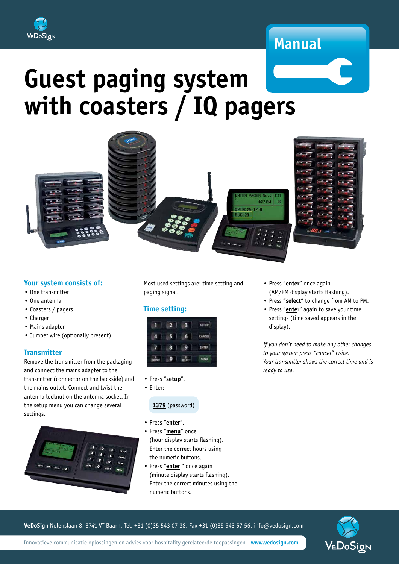

## **Manual**

# **Guest paging system with coasters / IQ pagers**



#### **Your system consists of:**

- One transmitter
- One antenna
- Coasters / pagers
- Charger
- Mains adapter
- Jumper wire (optionally present)

#### **Transmitter**

Remove the transmitter from the packaging and connect the mains adapter to the transmitter (connector on the backside) and the mains outlet. Connect and twist the antenna locknut on the antenna socket. In the setup menu you can change several settings.



Most used settings are: time setting and paging signal.

#### **Time setting:**



- Press "**setup**".
- Enter:

#### **1379** (password)

- Press "**enter**".
- Press "**menu**" once (hour display starts flashing). Enter the correct hours using the numeric buttons.
- Press "**enter** " once again (minute display starts flashing). Enter the correct minutes using the numeric buttons.
- Press "**enter**" once again (AM/PM display starts flashing).
- Press "**select**" to change from AM to PM.
- Press "**ente**r" again to save your time settings (time saved appears in the display).

*If you don't need to make any other changes to your system press "cancel" twice. Your transmitter shows the correct time and is ready to use.*

**VeDoSign** Nolenslaan 8, 3741 VT Baarn, Tel. +31 (0)35 543 07 38, Fax +31 (0)35 543 57 56, info@vedosign.com